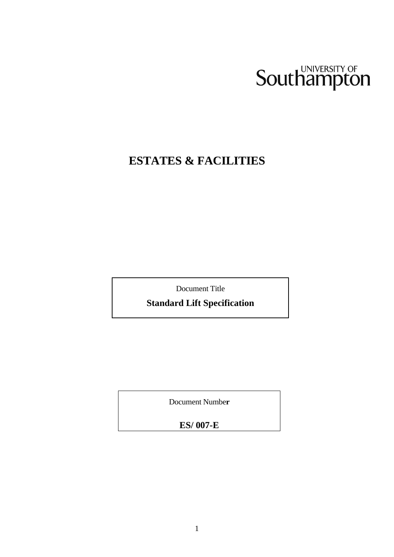# Southampton

## **ESTATES & FACILITIES**

Document Title

**Standard Lift Specification**

**Briefing Notes for Electrical** 

Document Numbe**r**

**ES/ 007-E**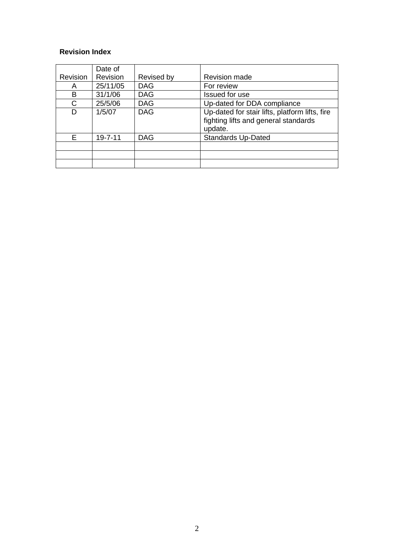## **Revision Index**

|          | Date of       |            |                                                |
|----------|---------------|------------|------------------------------------------------|
| Revision | Revision      | Revised by | <b>Revision made</b>                           |
| A        | 25/11/05      | <b>DAG</b> | For review                                     |
| В        | 31/1/06       | <b>DAG</b> | Issued for use                                 |
| C        | 25/5/06       | <b>DAG</b> | Up-dated for DDA compliance                    |
| D        | 1/5/07        | <b>DAG</b> | Up-dated for stair lifts, platform lifts, fire |
|          |               |            | fighting lifts and general standards           |
|          |               |            | update.                                        |
| F        | $19 - 7 - 11$ | <b>DAG</b> | <b>Standards Up-Dated</b>                      |
|          |               |            |                                                |
|          |               |            |                                                |
|          |               |            |                                                |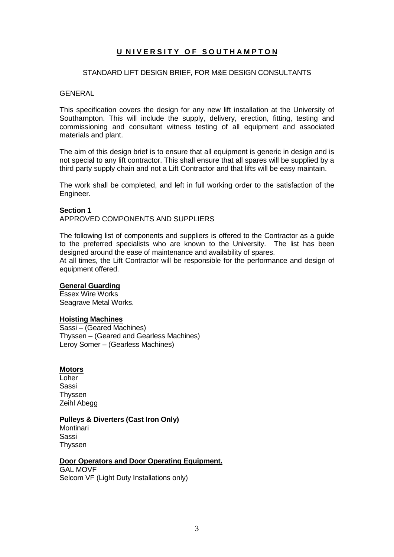## **U NIVERSITY OF SOUTHAMPTON**

## STANDARD LIFT DESIGN BRIEF, FOR M&E DESIGN CONSULTANTS

## **GENERAL**

This specification covers the design for any new lift installation at the University of Southampton. This will include the supply, delivery, erection, fitting, testing and commissioning and consultant witness testing of all equipment and associated materials and plant.

The aim of this design brief is to ensure that all equipment is generic in design and is not special to any lift contractor. This shall ensure that all spares will be supplied by a third party supply chain and not a Lift Contractor and that lifts will be easy maintain.

The work shall be completed, and left in full working order to the satisfaction of the Engineer.

#### **Section 1**

APPROVED COMPONENTS AND SUPPLIERS

The following list of components and suppliers is offered to the Contractor as a guide to the preferred specialists who are known to the University. The list has been designed around the ease of maintenance and availability of spares.

At all times, the Lift Contractor will be responsible for the performance and design of equipment offered.

#### **General Guarding**

Essex Wire Works Seagrave Metal Works.

#### **Hoisting Machines**

Sassi – (Geared Machines) Thyssen – (Geared and Gearless Machines) Leroy Somer – (Gearless Machines)

## **Motors**

Loher Sassi Thyssen Zeihl Abegg

#### **Pulleys & Diverters (Cast Iron Only)**

**Montinari** Sassi Thyssen

## **Door Operators and Door Operating Equipment.**

GAL MOVF Selcom VF (Light Duty Installations only)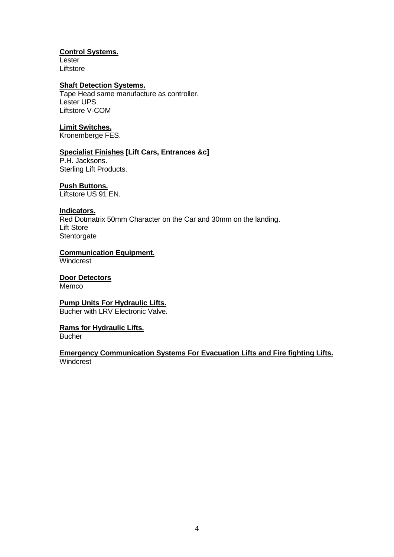## **Control Systems.**

**Lester** Liftstore

## **Shaft Detection Systems.**

Tape Head same manufacture as controller. Lester UPS Liftstore V-COM

## **Limit Switches.**

Kronemberge FES.

## **Specialist Finishes [Lift Cars, Entrances &c]**

P.H. Jacksons. Sterling Lift Products.

## **Push Buttons.**

Liftstore US 91 EN.

## **Indicators.**

Red Dotmatrix 50mm Character on the Car and 30mm on the landing. Lift Store **Stentorgate** 

## **Communication Equipment.**

**Windcrest** 

## **Door Detectors**

**Memco** 

## **Pump Units For Hydraulic Lifts.**

Bucher with LRV Electronic Valve.

## **Rams for Hydraulic Lifts.**

**Bucher** 

## **Emergency Communication Systems For Evacuation Lifts and Fire fighting Lifts. Windcrest**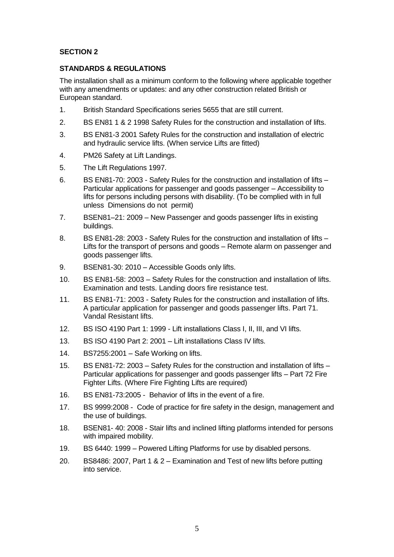## **SECTION 2**

## **STANDARDS & REGULATIONS**

The installation shall as a minimum conform to the following where applicable together with any amendments or updates: and any other construction related British or European standard.

- 1. British Standard Specifications series 5655 that are still current.
- 2. BS EN81 1 & 2 1998 Safety Rules for the construction and installation of lifts.
- 3. BS EN81-3 2001 Safety Rules for the construction and installation of electric and hydraulic service lifts. (When service Lifts are fitted)
- 4. PM26 Safety at Lift Landings.
- 5. The Lift Regulations 1997.
- 6. BS EN81-70: 2003 Safety Rules for the construction and installation of lifts Particular applications for passenger and goods passenger – Accessibility to lifts for persons including persons with disability. (To be complied with in full unless Dimensions do not permit)
- 7. BSEN81–21: 2009 New Passenger and goods passenger lifts in existing buildings.
- 8. BS EN81-28: 2003 Safety Rules for the construction and installation of lifts Lifts for the transport of persons and goods – Remote alarm on passenger and goods passenger lifts.
- 9. BSEN81-30: 2010 Accessible Goods only lifts.
- 10. BS EN81-58: 2003 Safety Rules for the construction and installation of lifts. Examination and tests. Landing doors fire resistance test.
- 11. BS EN81-71: 2003 Safety Rules for the construction and installation of lifts. A particular application for passenger and goods passenger lifts. Part 71. Vandal Resistant lifts.
- 12. BS ISO 4190 Part 1: 1999 Lift installations Class I, II, III, and VI lifts.
- 13. BS ISO 4190 Part 2: 2001 Lift installations Class IV lifts.
- 14. BS7255:2001 Safe Working on lifts.
- 15. BS EN81-72: 2003 Safety Rules for the construction and installation of lifts Particular applications for passenger and goods passenger lifts – Part 72 Fire Fighter Lifts. (Where Fire Fighting Lifts are required)
- 16. BS EN81-73:2005 Behavior of lifts in the event of a fire.
- 17. BS 9999:2008 Code of practice for fire safety in the design, management and the use of buildings.
- 18. BSEN81- 40: 2008 Stair lifts and inclined lifting platforms intended for persons with impaired mobility.
- 19. BS 6440: 1999 Powered Lifting Platforms for use by disabled persons.
- 20. BS8486: 2007, Part 1 & 2 Examination and Test of new lifts before putting into service.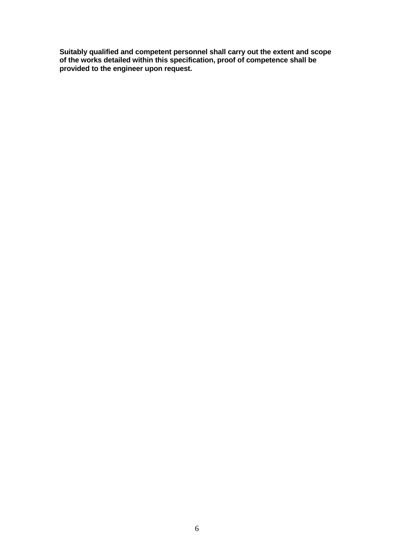**Suitably qualified and competent personnel shall carry out the extent and scope of the works detailed within this specification, proof of competence shall be provided to the engineer upon request.**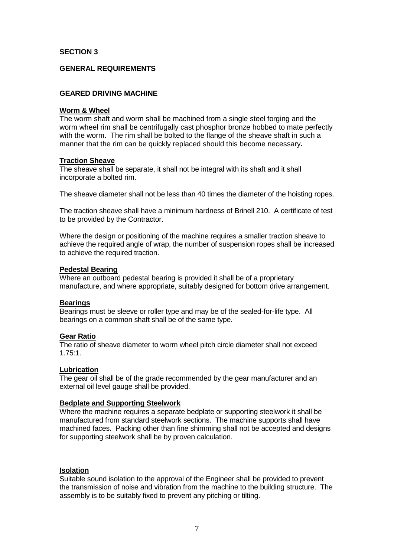## **SECTION 3**

## **GENERAL REQUIREMENTS**

## **GEARED DRIVING MACHINE**

#### **Worm & Wheel**

The worm shaft and worm shall be machined from a single steel forging and the worm wheel rim shall be centrifugally cast phosphor bronze hobbed to mate perfectly with the worm. The rim shall be bolted to the flange of the sheave shaft in such a manner that the rim can be quickly replaced should this become necessary**.**

#### **Traction Sheave**

The sheave shall be separate, it shall not be integral with its shaft and it shall incorporate a bolted rim.

The sheave diameter shall not be less than 40 times the diameter of the hoisting ropes.

The traction sheave shall have a minimum hardness of Brinell 210. A certificate of test to be provided by the Contractor.

Where the design or positioning of the machine requires a smaller traction sheave to achieve the required angle of wrap, the number of suspension ropes shall be increased to achieve the required traction.

#### **Pedestal Bearing**

Where an outboard pedestal bearing is provided it shall be of a proprietary manufacture, and where appropriate, suitably designed for bottom drive arrangement.

## **Bearings**

Bearings must be sleeve or roller type and may be of the sealed-for-life type. All bearings on a common shaft shall be of the same type.

## **Gear Ratio**

The ratio of sheave diameter to worm wheel pitch circle diameter shall not exceed 1.75:1.

## **Lubrication**

The gear oil shall be of the grade recommended by the gear manufacturer and an external oil level gauge shall be provided.

## **Bedplate and Supporting Steelwork**

Where the machine requires a separate bedplate or supporting steelwork it shall be manufactured from standard steelwork sections. The machine supports shall have machined faces. Packing other than fine shimming shall not be accepted and designs for supporting steelwork shall be by proven calculation.

## **Isolation**

Suitable sound isolation to the approval of the Engineer shall be provided to prevent the transmission of noise and vibration from the machine to the building structure. The assembly is to be suitably fixed to prevent any pitching or tilting.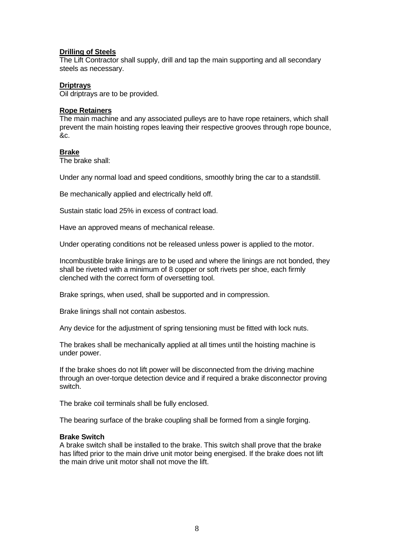## **Drilling of Steels**

The Lift Contractor shall supply, drill and tap the main supporting and all secondary steels as necessary.

## **Driptrays**

Oil driptrays are to be provided.

## **Rope Retainers**

The main machine and any associated pulleys are to have rope retainers, which shall prevent the main hoisting ropes leaving their respective grooves through rope bounce, &c.

## **Brake**

The brake shall:

Under any normal load and speed conditions, smoothly bring the car to a standstill.

Be mechanically applied and electrically held off.

Sustain static load 25% in excess of contract load.

Have an approved means of mechanical release.

Under operating conditions not be released unless power is applied to the motor.

Incombustible brake linings are to be used and where the linings are not bonded, they shall be riveted with a minimum of 8 copper or soft rivets per shoe, each firmly clenched with the correct form of oversetting tool.

Brake springs, when used, shall be supported and in compression.

Brake linings shall not contain asbestos.

Any device for the adjustment of spring tensioning must be fitted with lock nuts.

The brakes shall be mechanically applied at all times until the hoisting machine is under power.

If the brake shoes do not lift power will be disconnected from the driving machine through an over-torque detection device and if required a brake disconnector proving switch.

The brake coil terminals shall be fully enclosed.

The bearing surface of the brake coupling shall be formed from a single forging.

## **Brake Switch**

A brake switch shall be installed to the brake. This switch shall prove that the brake has lifted prior to the main drive unit motor being energised. If the brake does not lift the main drive unit motor shall not move the lift.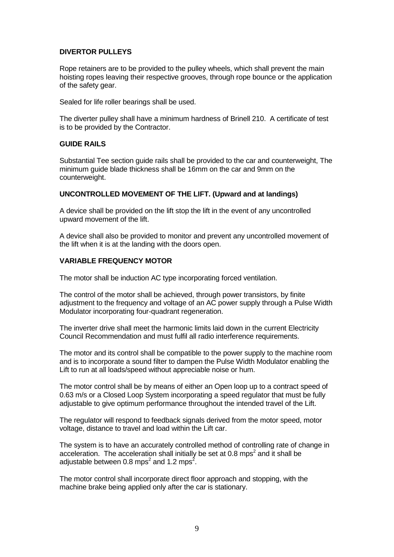## **DIVERTOR PULLEYS**

Rope retainers are to be provided to the pulley wheels, which shall prevent the main hoisting ropes leaving their respective grooves, through rope bounce or the application of the safety gear.

Sealed for life roller bearings shall be used.

The diverter pulley shall have a minimum hardness of Brinell 210. A certificate of test is to be provided by the Contractor.

## **GUIDE RAILS**

Substantial Tee section guide rails shall be provided to the car and counterweight, The minimum guide blade thickness shall be 16mm on the car and 9mm on the counterweight.

## **UNCONTROLLED MOVEMENT OF THE LIFT. (Upward and at landings)**

A device shall be provided on the lift stop the lift in the event of any uncontrolled upward movement of the lift.

A device shall also be provided to monitor and prevent any uncontrolled movement of the lift when it is at the landing with the doors open.

## **VARIABLE FREQUENCY MOTOR**

The motor shall be induction AC type incorporating forced ventilation.

The control of the motor shall be achieved, through power transistors, by finite adjustment to the frequency and voltage of an AC power supply through a Pulse Width Modulator incorporating four-quadrant regeneration.

The inverter drive shall meet the harmonic limits laid down in the current Electricity Council Recommendation and must fulfil all radio interference requirements.

The motor and its control shall be compatible to the power supply to the machine room and is to incorporate a sound filter to dampen the Pulse Width Modulator enabling the Lift to run at all loads/speed without appreciable noise or hum.

The motor control shall be by means of either an Open loop up to a contract speed of 0.63 m/s or a Closed Loop System incorporating a speed regulator that must be fully adjustable to give optimum performance throughout the intended travel of the Lift.

The regulator will respond to feedback signals derived from the motor speed, motor voltage, distance to travel and load within the Lift car.

The system is to have an accurately controlled method of controlling rate of change in acceleration. The acceleration shall initially be set at 0.8 mps<sup>2</sup> and it shall be adjustable between 0.8 mps<sup>2</sup> and 1.2 mps<sup>2</sup>.

The motor control shall incorporate direct floor approach and stopping, with the machine brake being applied only after the car is stationary.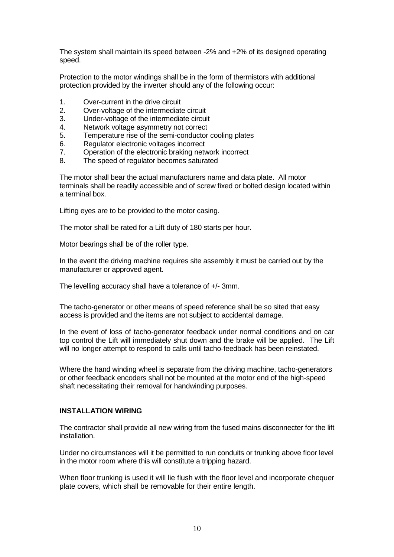The system shall maintain its speed between -2% and +2% of its designed operating speed.

Protection to the motor windings shall be in the form of thermistors with additional protection provided by the inverter should any of the following occur:

- 1. Over-current in the drive circuit
- 2. Over-voltage of the intermediate circuit
- 3. Under-voltage of the intermediate circuit
- 4. Network voltage asymmetry not correct
- 5. Temperature rise of the semi-conductor cooling plates
- 6. Regulator electronic voltages incorrect
- 7. Operation of the electronic braking network incorrect
- 8. The speed of regulator becomes saturated

The motor shall bear the actual manufacturers name and data plate. All motor terminals shall be readily accessible and of screw fixed or bolted design located within a terminal box.

Lifting eyes are to be provided to the motor casing.

The motor shall be rated for a Lift duty of 180 starts per hour.

Motor bearings shall be of the roller type.

In the event the driving machine requires site assembly it must be carried out by the manufacturer or approved agent.

The levelling accuracy shall have a tolerance of +/- 3mm.

The tacho-generator or other means of speed reference shall be so sited that easy access is provided and the items are not subject to accidental damage.

In the event of loss of tacho-generator feedback under normal conditions and on car top control the Lift will immediately shut down and the brake will be applied. The Lift will no longer attempt to respond to calls until tacho-feedback has been reinstated.

Where the hand winding wheel is separate from the driving machine, tacho-generators or other feedback encoders shall not be mounted at the motor end of the high-speed shaft necessitating their removal for handwinding purposes.

## **INSTALLATION WIRING**

The contractor shall provide all new wiring from the fused mains disconnecter for the lift installation.

Under no circumstances will it be permitted to run conduits or trunking above floor level in the motor room where this will constitute a tripping hazard.

When floor trunking is used it will lie flush with the floor level and incorporate chequer plate covers, which shall be removable for their entire length.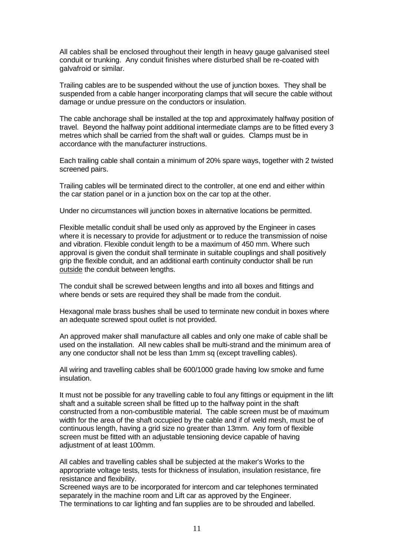All cables shall be enclosed throughout their length in heavy gauge galvanised steel conduit or trunking. Any conduit finishes where disturbed shall be re-coated with galvafroid or similar.

Trailing cables are to be suspended without the use of junction boxes. They shall be suspended from a cable hanger incorporating clamps that will secure the cable without damage or undue pressure on the conductors or insulation.

The cable anchorage shall be installed at the top and approximately halfway position of travel. Beyond the halfway point additional intermediate clamps are to be fitted every 3 metres which shall be carried from the shaft wall or guides. Clamps must be in accordance with the manufacturer instructions.

Each trailing cable shall contain a minimum of 20% spare ways, together with 2 twisted screened pairs.

Trailing cables will be terminated direct to the controller, at one end and either within the car station panel or in a junction box on the car top at the other.

Under no circumstances will junction boxes in alternative locations be permitted.

Flexible metallic conduit shall be used only as approved by the Engineer in cases where it is necessary to provide for adjustment or to reduce the transmission of noise and vibration. Flexible conduit length to be a maximum of 450 mm. Where such approval is given the conduit shall terminate in suitable couplings and shall positively grip the flexible conduit, and an additional earth continuity conductor shall be run outside the conduit between lengths.

The conduit shall be screwed between lengths and into all boxes and fittings and where bends or sets are required they shall be made from the conduit.

Hexagonal male brass bushes shall be used to terminate new conduit in boxes where an adequate screwed spout outlet is not provided.

An approved maker shall manufacture all cables and only one make of cable shall be used on the installation. All new cables shall be multi-strand and the minimum area of any one conductor shall not be less than 1mm sq (except travelling cables).

All wiring and travelling cables shall be 600/1000 grade having low smoke and fume insulation.

It must not be possible for any travelling cable to foul any fittings or equipment in the lift shaft and a suitable screen shall be fitted up to the halfway point in the shaft constructed from a non-combustible material. The cable screen must be of maximum width for the area of the shaft occupied by the cable and if of weld mesh, must be of continuous length, having a grid size no greater than 13mm. Any form of flexible screen must be fitted with an adjustable tensioning device capable of having adjustment of at least 100mm.

All cables and travelling cables shall be subjected at the maker's Works to the appropriate voltage tests, tests for thickness of insulation, insulation resistance, fire resistance and flexibility.

Screened ways are to be incorporated for intercom and car telephones terminated separately in the machine room and Lift car as approved by the Engineer. The terminations to car lighting and fan supplies are to be shrouded and labelled.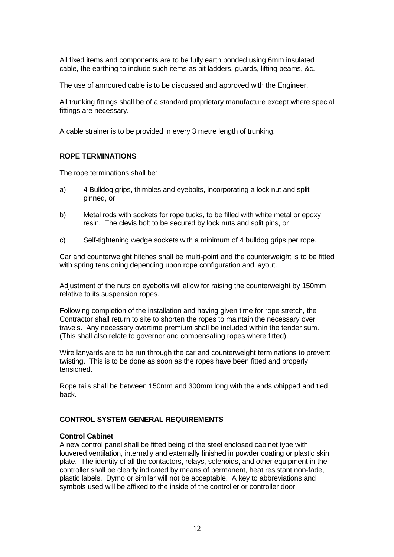All fixed items and components are to be fully earth bonded using 6mm insulated cable, the earthing to include such items as pit ladders, guards, lifting beams, &c.

The use of armoured cable is to be discussed and approved with the Engineer.

All trunking fittings shall be of a standard proprietary manufacture except where special fittings are necessary.

A cable strainer is to be provided in every 3 metre length of trunking.

## **ROPE TERMINATIONS**

The rope terminations shall be:

- a) 4 Bulldog grips, thimbles and eyebolts, incorporating a lock nut and split pinned, or
- b) Metal rods with sockets for rope tucks, to be filled with white metal or epoxy resin. The clevis bolt to be secured by lock nuts and split pins, or
- c) Self-tightening wedge sockets with a minimum of 4 bulldog grips per rope.

Car and counterweight hitches shall be multi-point and the counterweight is to be fitted with spring tensioning depending upon rope configuration and layout.

Adjustment of the nuts on eyebolts will allow for raising the counterweight by 150mm relative to its suspension ropes.

Following completion of the installation and having given time for rope stretch, the Contractor shall return to site to shorten the ropes to maintain the necessary over travels. Any necessary overtime premium shall be included within the tender sum. (This shall also relate to governor and compensating ropes where fitted).

Wire lanyards are to be run through the car and counterweight terminations to prevent twisting. This is to be done as soon as the ropes have been fitted and properly tensioned.

Rope tails shall be between 150mm and 300mm long with the ends whipped and tied back.

## **CONTROL SYSTEM GENERAL REQUIREMENTS**

## **Control Cabinet**

A new control panel shall be fitted being of the steel enclosed cabinet type with louvered ventilation, internally and externally finished in powder coating or plastic skin plate. The identity of all the contactors, relays, solenoids, and other equipment in the controller shall be clearly indicated by means of permanent, heat resistant non-fade, plastic labels. Dymo or similar will not be acceptable. A key to abbreviations and symbols used will be affixed to the inside of the controller or controller door.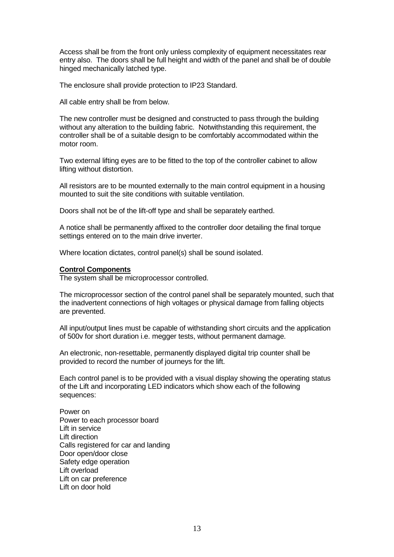Access shall be from the front only unless complexity of equipment necessitates rear entry also. The doors shall be full height and width of the panel and shall be of double hinged mechanically latched type.

The enclosure shall provide protection to IP23 Standard.

All cable entry shall be from below.

The new controller must be designed and constructed to pass through the building without any alteration to the building fabric. Notwithstanding this requirement, the controller shall be of a suitable design to be comfortably accommodated within the motor room.

Two external lifting eyes are to be fitted to the top of the controller cabinet to allow lifting without distortion.

All resistors are to be mounted externally to the main control equipment in a housing mounted to suit the site conditions with suitable ventilation.

Doors shall not be of the lift-off type and shall be separately earthed.

A notice shall be permanently affixed to the controller door detailing the final torque settings entered on to the main drive inverter.

Where location dictates, control panel(s) shall be sound isolated.

#### **Control Components**

The system shall be microprocessor controlled.

The microprocessor section of the control panel shall be separately mounted, such that the inadvertent connections of high voltages or physical damage from falling objects are prevented.

All input/output lines must be capable of withstanding short circuits and the application of 500v for short duration i.e. megger tests, without permanent damage.

An electronic, non-resettable, permanently displayed digital trip counter shall be provided to record the number of journeys for the lift.

Each control panel is to be provided with a visual display showing the operating status of the Lift and incorporating LED indicators which show each of the following sequences:

Power on Power to each processor board Lift in service Lift direction Calls registered for car and landing Door open/door close Safety edge operation Lift overload Lift on car preference Lift on door hold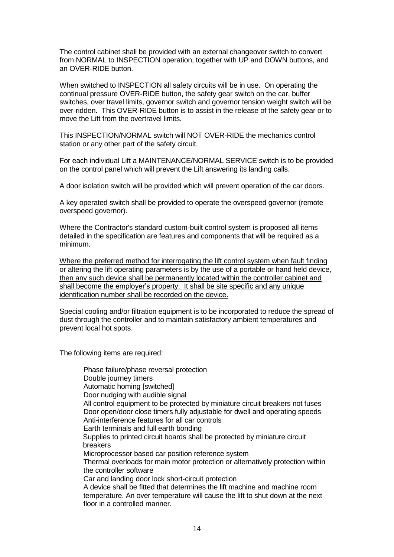The control cabinet shall be provided with an external changeover switch to convert from NORMAL to INSPECTION operation, together with UP and DOWN buttons, and an OVER-RIDE button.

When switched to INSPECTION all safety circuits will be in use. On operating the continual pressure OVER-RIDE button, the safety gear switch on the car, buffer switches, over travel limits, governor switch and governor tension weight switch will be over-ridden. This OVER-RIDE button is to assist in the release of the safety gear or to move the Lift from the overtravel limits.

This INSPECTION/NORMAL switch will NOT OVER-RIDE the mechanics control station or any other part of the safety circuit.

For each individual Lift a MAINTENANCE/NORMAL SERVICE switch is to be provided on the control panel which will prevent the Lift answering its landing calls.

A door isolation switch will be provided which will prevent operation of the car doors.

A key operated switch shall be provided to operate the overspeed governor (remote overspeed governor).

Where the Contractor's standard custom-built control system is proposed all items detailed in the specification are features and components that will be required as a minimum.

Where the preferred method for interrogating the lift control system when fault finding or altering the lift operating parameters is by the use of a portable or hand held device, then any such device shall be permanently located within the controller cabinet and shall become the employer's property. It shall be site specific and any unique identification number shall be recorded on the device.

Special cooling and/or filtration equipment is to be incorporated to reduce the spread of dust through the controller and to maintain satisfactory ambient temperatures and prevent local hot spots.

The following items are required:

Phase failure/phase reversal protection Double journey timers Automatic homing [switched] Door nudging with audible signal All control equipment to be protected by miniature circuit breakers not fuses Door open/door close timers fully adjustable for dwell and operating speeds Anti-interference features for all car controls Earth terminals and full earth bonding Supplies to printed circuit boards shall be protected by miniature circuit breakers Microprocessor based car position reference system Thermal overloads for main motor protection or alternatively protection within the controller software Car and landing door lock short-circuit protection A device shall be fitted that determines the lift machine and machine room temperature. An over temperature will cause the lift to shut down at the next floor in a controlled manner.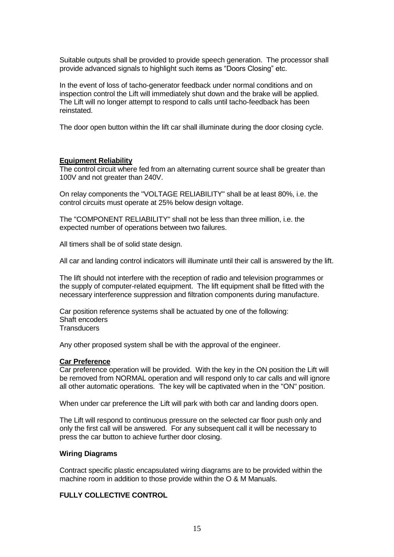Suitable outputs shall be provided to provide speech generation. The processor shall provide advanced signals to highlight such items as "Doors Closing" etc.

In the event of loss of tacho-generator feedback under normal conditions and on inspection control the Lift will immediately shut down and the brake will be applied. The Lift will no longer attempt to respond to calls until tacho-feedback has been reinstated.

The door open button within the lift car shall illuminate during the door closing cycle.

## **Equipment Reliability**

The control circuit where fed from an alternating current source shall be greater than 100V and not greater than 240V.

On relay components the "VOLTAGE RELIABILITY" shall be at least 80%, i.e. the control circuits must operate at 25% below design voltage.

The "COMPONENT RELIABILITY" shall not be less than three million, i.e. the expected number of operations between two failures.

All timers shall be of solid state design.

All car and landing control indicators will illuminate until their call is answered by the lift.

The lift should not interfere with the reception of radio and television programmes or the supply of computer-related equipment. The lift equipment shall be fitted with the necessary interference suppression and filtration components during manufacture.

Car position reference systems shall be actuated by one of the following: Shaft encoders **Transducers** 

Any other proposed system shall be with the approval of the engineer.

## **Car Preference**

Car preference operation will be provided. With the key in the ON position the Lift will be removed from NORMAL operation and will respond only to car calls and will ignore all other automatic operations. The key will be captivated when in the "ON" position.

When under car preference the Lift will park with both car and landing doors open.

The Lift will respond to continuous pressure on the selected car floor push only and only the first call will be answered. For any subsequent call it will be necessary to press the car button to achieve further door closing.

## **Wiring Diagrams**

Contract specific plastic encapsulated wiring diagrams are to be provided within the machine room in addition to those provide within the O & M Manuals.

## **FULLY COLLECTIVE CONTROL**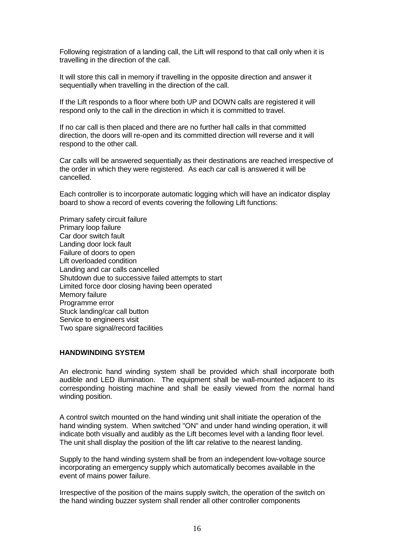Following registration of a landing call, the Lift will respond to that call only when it is travelling in the direction of the call.

It will store this call in memory if travelling in the opposite direction and answer it sequentially when travelling in the direction of the call.

If the Lift responds to a floor where both UP and DOWN calls are registered it will respond only to the call in the direction in which it is committed to travel.

If no car call is then placed and there are no further hall calls in that committed direction, the doors will re-open and its committed direction will reverse and it will respond to the other call.

Car calls will be answered sequentially as their destinations are reached irrespective of the order in which they were registered. As each car call is answered it will be cancelled.

Each controller is to incorporate automatic logging which will have an indicator display board to show a record of events covering the following Lift functions:

Primary safety circuit failure Primary loop failure Car door switch fault Landing door lock fault Failure of doors to open Lift overloaded condition Landing and car calls cancelled Shutdown due to successive failed attempts to start Limited force door closing having been operated Memory failure Programme error Stuck landing/car call button Service to engineers visit Two spare signal/record facilities

## **HANDWINDING SYSTEM**

An electronic hand winding system shall be provided which shall incorporate both audible and LED illumination. The equipment shall be wall-mounted adjacent to its corresponding hoisting machine and shall be easily viewed from the normal hand winding position.

A control switch mounted on the hand winding unit shall initiate the operation of the hand winding system. When switched "ON" and under hand winding operation, it will indicate both visually and audibly as the Lift becomes level with a landing floor level. The unit shall display the position of the lift car relative to the nearest landing.

Supply to the hand winding system shall be from an independent low-voltage source incorporating an emergency supply which automatically becomes available in the event of mains power failure.

Irrespective of the position of the mains supply switch, the operation of the switch on the hand winding buzzer system shall render all other controller components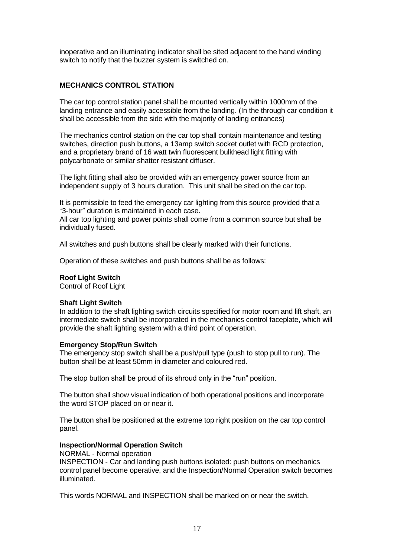inoperative and an illuminating indicator shall be sited adjacent to the hand winding switch to notify that the buzzer system is switched on.

## **MECHANICS CONTROL STATION**

The car top control station panel shall be mounted vertically within 1000mm of the landing entrance and easily accessible from the landing. (In the through car condition it shall be accessible from the side with the majority of landing entrances)

The mechanics control station on the car top shall contain maintenance and testing switches, direction push buttons, a 13amp switch socket outlet with RCD protection, and a proprietary brand of 16 watt twin fluorescent bulkhead light fitting with polycarbonate or similar shatter resistant diffuser.

The light fitting shall also be provided with an emergency power source from an independent supply of 3 hours duration. This unit shall be sited on the car top.

It is permissible to feed the emergency car lighting from this source provided that a "3-hour" duration is maintained in each case.

All car top lighting and power points shall come from a common source but shall be individually fused.

All switches and push buttons shall be clearly marked with their functions.

Operation of these switches and push buttons shall be as follows:

## **Roof Light Switch**

Control of Roof Light

## **Shaft Light Switch**

In addition to the shaft lighting switch circuits specified for motor room and lift shaft, an intermediate switch shall be incorporated in the mechanics control faceplate, which will provide the shaft lighting system with a third point of operation.

## **Emergency Stop/Run Switch**

The emergency stop switch shall be a push/pull type (push to stop pull to run). The button shall be at least 50mm in diameter and coloured red.

The stop button shall be proud of its shroud only in the "run" position.

The button shall show visual indication of both operational positions and incorporate the word STOP placed on or near it.

The button shall be positioned at the extreme top right position on the car top control panel.

## **Inspection/Normal Operation Switch**

NORMAL - Normal operation INSPECTION - Car and landing push buttons isolated: push buttons on mechanics control panel become operative, and the Inspection/Normal Operation switch becomes illuminated.

This words NORMAL and INSPECTION shall be marked on or near the switch.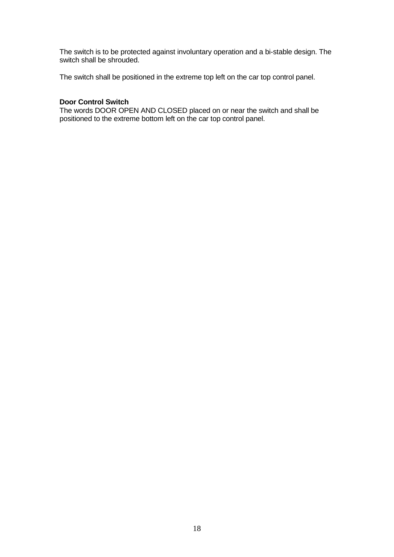The switch is to be protected against involuntary operation and a bi-stable design. The switch shall be shrouded.

The switch shall be positioned in the extreme top left on the car top control panel.

## **Door Control Switch**

The words DOOR OPEN AND CLOSED placed on or near the switch and shall be positioned to the extreme bottom left on the car top control panel.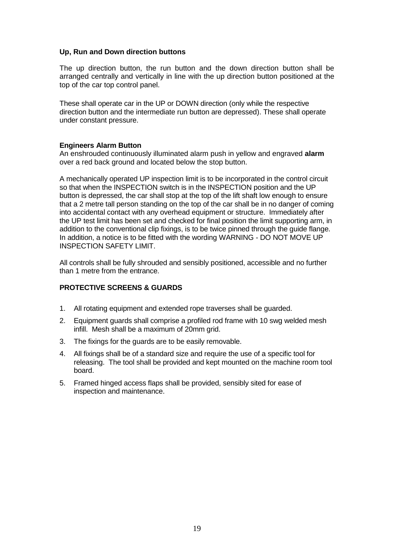## **Up, Run and Down direction buttons**

The up direction button, the run button and the down direction button shall be arranged centrally and vertically in line with the up direction button positioned at the top of the car top control panel.

These shall operate car in the UP or DOWN direction (only while the respective direction button and the intermediate run button are depressed). These shall operate under constant pressure.

## **Engineers Alarm Button**

An enshrouded continuously illuminated alarm push in yellow and engraved **alarm**  over a red back ground and located below the stop button.

A mechanically operated UP inspection limit is to be incorporated in the control circuit so that when the INSPECTION switch is in the INSPECTION position and the UP button is depressed, the car shall stop at the top of the lift shaft low enough to ensure that a 2 metre tall person standing on the top of the car shall be in no danger of coming into accidental contact with any overhead equipment or structure. Immediately after the UP test limit has been set and checked for final position the limit supporting arm, in addition to the conventional clip fixings, is to be twice pinned through the guide flange. In addition, a notice is to be fitted with the wording WARNING - DO NOT MOVE UP INSPECTION SAFETY LIMIT.

All controls shall be fully shrouded and sensibly positioned, accessible and no further than 1 metre from the entrance.

## **PROTECTIVE SCREENS & GUARDS**

- 1. All rotating equipment and extended rope traverses shall be guarded.
- 2. Equipment guards shall comprise a profiled rod frame with 10 swg welded mesh infill. Mesh shall be a maximum of 20mm grid.
- 3. The fixings for the guards are to be easily removable.
- 4. All fixings shall be of a standard size and require the use of a specific tool for releasing. The tool shall be provided and kept mounted on the machine room tool board.
- 5. Framed hinged access flaps shall be provided, sensibly sited for ease of inspection and maintenance.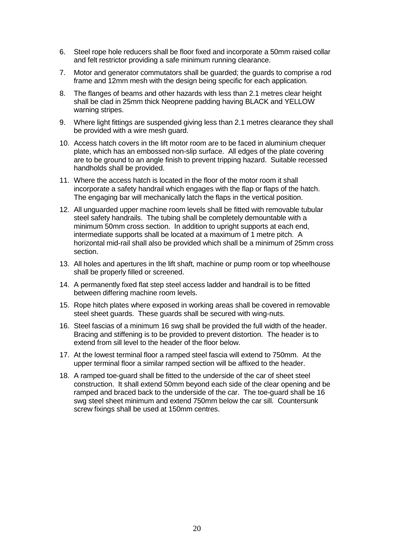- 6. Steel rope hole reducers shall be floor fixed and incorporate a 50mm raised collar and felt restrictor providing a safe minimum running clearance.
- 7. Motor and generator commutators shall be guarded; the guards to comprise a rod frame and 12mm mesh with the design being specific for each application.
- 8. The flanges of beams and other hazards with less than 2.1 metres clear height shall be clad in 25mm thick Neoprene padding having BLACK and YELLOW warning stripes.
- 9. Where light fittings are suspended giving less than 2.1 metres clearance they shall be provided with a wire mesh guard.
- 10. Access hatch covers in the lift motor room are to be faced in aluminium chequer plate, which has an embossed non-slip surface. All edges of the plate covering are to be ground to an angle finish to prevent tripping hazard. Suitable recessed handholds shall be provided.
- 11. Where the access hatch is located in the floor of the motor room it shall incorporate a safety handrail which engages with the flap or flaps of the hatch. The engaging bar will mechanically latch the flaps in the vertical position.
- 12. All unguarded upper machine room levels shall be fitted with removable tubular steel safety handrails. The tubing shall be completely demountable with a minimum 50mm cross section. In addition to upright supports at each end. intermediate supports shall be located at a maximum of 1 metre pitch. A horizontal mid-rail shall also be provided which shall be a minimum of 25mm cross section.
- 13. All holes and apertures in the lift shaft, machine or pump room or top wheelhouse shall be properly filled or screened.
- 14. A permanently fixed flat step steel access ladder and handrail is to be fitted between differing machine room levels.
- 15. Rope hitch plates where exposed in working areas shall be covered in removable steel sheet guards. These guards shall be secured with wing-nuts.
- 16. Steel fascias of a minimum 16 swg shall be provided the full width of the header. Bracing and stiffening is to be provided to prevent distortion. The header is to extend from sill level to the header of the floor below.
- 17. At the lowest terminal floor a ramped steel fascia will extend to 750mm. At the upper terminal floor a similar ramped section will be affixed to the header.
- 18. A ramped toe-guard shall be fitted to the underside of the car of sheet steel construction. It shall extend 50mm beyond each side of the clear opening and be ramped and braced back to the underside of the car. The toe-guard shall be 16 swg steel sheet minimum and extend 750mm below the car sill. Countersunk screw fixings shall be used at 150mm centres.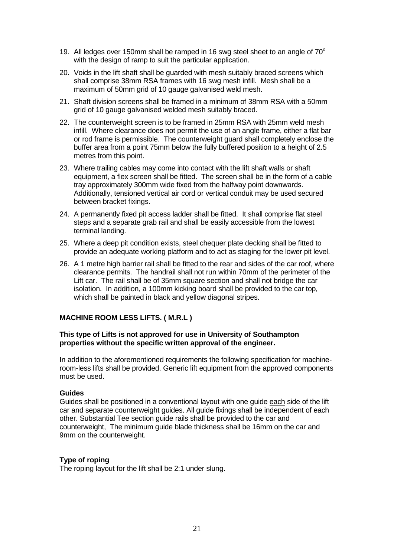- 19. All ledges over 150mm shall be ramped in 16 swg steel sheet to an angle of  $70^{\circ}$ with the design of ramp to suit the particular application.
- 20. Voids in the lift shaft shall be guarded with mesh suitably braced screens which shall comprise 38mm RSA frames with 16 swg mesh infill. Mesh shall be a maximum of 50mm grid of 10 gauge galvanised weld mesh.
- 21. Shaft division screens shall be framed in a minimum of 38mm RSA with a 50mm grid of 10 gauge galvanised welded mesh suitably braced.
- 22. The counterweight screen is to be framed in 25mm RSA with 25mm weld mesh infill. Where clearance does not permit the use of an angle frame, either a flat bar or rod frame is permissible. The counterweight guard shall completely enclose the buffer area from a point 75mm below the fully buffered position to a height of 2.5 metres from this point.
- 23. Where trailing cables may come into contact with the lift shaft walls or shaft equipment, a flex screen shall be fitted. The screen shall be in the form of a cable tray approximately 300mm wide fixed from the halfway point downwards. Additionally, tensioned vertical air cord or vertical conduit may be used secured between bracket fixings.
- 24. A permanently fixed pit access ladder shall be fitted. It shall comprise flat steel steps and a separate grab rail and shall be easily accessible from the lowest terminal landing.
- 25. Where a deep pit condition exists, steel chequer plate decking shall be fitted to provide an adequate working platform and to act as staging for the lower pit level.
- 26. A 1 metre high barrier rail shall be fitted to the rear and sides of the car roof, where clearance permits. The handrail shall not run within 70mm of the perimeter of the Lift car. The rail shall be of 35mm square section and shall not bridge the car isolation. In addition, a 100mm kicking board shall be provided to the car top, which shall be painted in black and yellow diagonal stripes.

## **MACHINE ROOM LESS LIFTS. ( M.R.L )**

## **This type of Lifts is not approved for use in University of Southampton properties without the specific written approval of the engineer.**

In addition to the aforementioned requirements the following specification for machineroom-less lifts shall be provided. Generic lift equipment from the approved components must be used.

## **Guides**

Guides shall be positioned in a conventional layout with one guide each side of the lift car and separate counterweight guides. All guide fixings shall be independent of each other. Substantial Tee section guide rails shall be provided to the car and counterweight, The minimum guide blade thickness shall be 16mm on the car and 9mm on the counterweight.

## **Type of roping**

The roping layout for the lift shall be 2:1 under slung.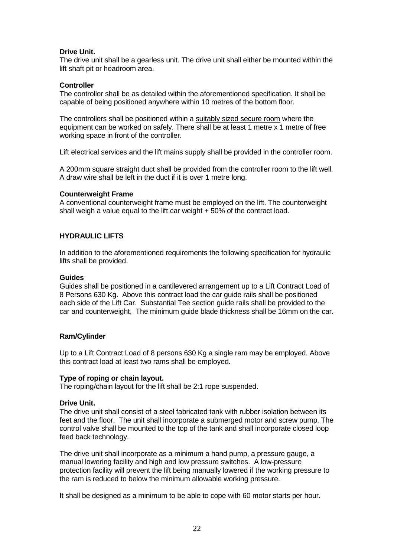## **Drive Unit.**

The drive unit shall be a gearless unit. The drive unit shall either be mounted within the lift shaft pit or headroom area.

## **Controller**

The controller shall be as detailed within the aforementioned specification. It shall be capable of being positioned anywhere within 10 metres of the bottom floor.

The controllers shall be positioned within a suitably sized secure room where the equipment can be worked on safely. There shall be at least 1 metre x 1 metre of free working space in front of the controller.

Lift electrical services and the lift mains supply shall be provided in the controller room.

A 200mm square straight duct shall be provided from the controller room to the lift well. A draw wire shall be left in the duct if it is over 1 metre long.

## **Counterweight Frame**

A conventional counterweight frame must be employed on the lift. The counterweight shall weigh a value equal to the lift car weight  $+50\%$  of the contract load.

## **HYDRAULIC LIFTS**

In addition to the aforementioned requirements the following specification for hydraulic lifts shall be provided.

#### **Guides**

Guides shall be positioned in a cantilevered arrangement up to a Lift Contract Load of 8 Persons 630 Kg. Above this contract load the car guide rails shall be positioned each side of the Lift Car. Substantial Tee section guide rails shall be provided to the car and counterweight, The minimum guide blade thickness shall be 16mm on the car.

## **Ram/Cylinder**

Up to a Lift Contract Load of 8 persons 630 Kg a single ram may be employed. Above this contract load at least two rams shall be employed.

## **Type of roping or chain layout.**

The roping/chain layout for the lift shall be 2:1 rope suspended.

## **Drive Unit.**

The drive unit shall consist of a steel fabricated tank with rubber isolation between its feet and the floor. The unit shall incorporate a submerged motor and screw pump. The control valve shall be mounted to the top of the tank and shall incorporate closed loop feed back technology.

The drive unit shall incorporate as a minimum a hand pump, a pressure gauge, a manual lowering facility and high and low pressure switches. A low-pressure protection facility will prevent the lift being manually lowered if the working pressure to the ram is reduced to below the minimum allowable working pressure.

It shall be designed as a minimum to be able to cope with 60 motor starts per hour.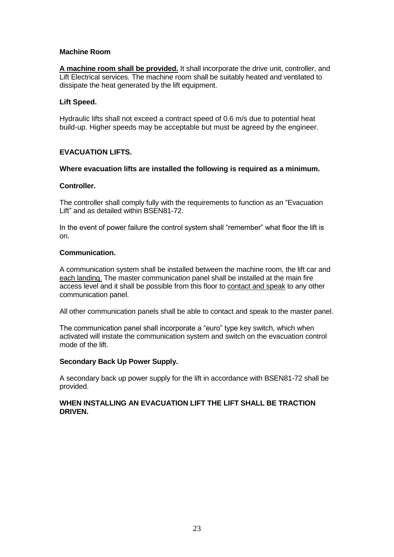## **Machine Room**

**A machine room shall be provided.** It shall incorporate the drive unit, controller, and Lift Electrical services. The machine room shall be suitably heated and ventilated to dissipate the heat generated by the lift equipment.

## **Lift Speed.**

Hydraulic lifts shall not exceed a contract speed of 0.6 m/s due to potential heat build-up. Higher speeds may be acceptable but must be agreed by the engineer.

## **EVACUATION LIFTS.**

## **Where evacuation lifts are installed the following is required as a minimum.**

## **Controller.**

The controller shall comply fully with the requirements to function as an "Evacuation Lift" and as detailed within BSEN81-72.

In the event of power failure the control system shall "remember" what floor the lift is on.

## **Communication.**

A communication system shall be installed between the machine room, the lift car and each landing. The master communication panel shall be installed at the main fire access level and it shall be possible from this floor to contact and speak to any other communication panel.

All other communication panels shall be able to contact and speak to the master panel.

The communication panel shall incorporate a "euro" type key switch, which when activated will instate the communication system and switch on the evacuation control mode of the lift.

## **Secondary Back Up Power Supply.**

A secondary back up power supply for the lift in accordance with BSEN81-72 shall be provided.

## **WHEN INSTALLING AN EVACUATION LIFT THE LIFT SHALL BE TRACTION DRIVEN.**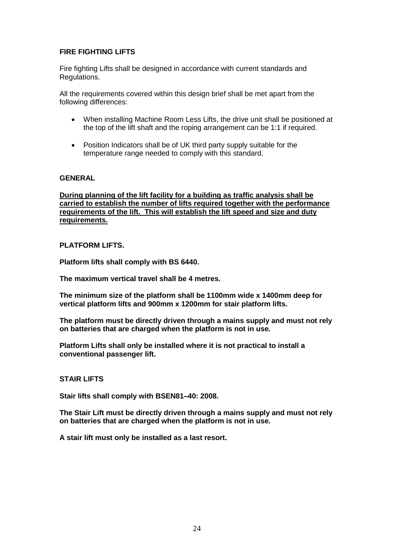## **FIRE FIGHTING LIFTS**

Fire fighting Lifts shall be designed in accordance with current standards and Regulations.

All the requirements covered within this design brief shall be met apart from the following differences:

- When installing Machine Room Less Lifts, the drive unit shall be positioned at the top of the lift shaft and the roping arrangement can be 1:1 if required.
- Position Indicators shall be of UK third party supply suitable for the temperature range needed to comply with this standard.

## **GENERAL**

**During planning of the lift facility for a building as traffic analysis shall be carried to establish the number of lifts required together with the performance requirements of the lift. This will establish the lift speed and size and duty requirements.**

## **PLATFORM LIFTS.**

**Platform lifts shall comply with BS 6440.**

**The maximum vertical travel shall be 4 metres.**

**The minimum size of the platform shall be 1100mm wide x 1400mm deep for vertical platform lifts and 900mm x 1200mm for stair platform lifts.**

**The platform must be directly driven through a mains supply and must not rely on batteries that are charged when the platform is not in use.**

**Platform Lifts shall only be installed where it is not practical to install a conventional passenger lift.**

## **STAIR LIFTS**

**Stair lifts shall comply with BSEN81–40: 2008.**

**The Stair Lift must be directly driven through a mains supply and must not rely on batteries that are charged when the platform is not in use.**

**A stair lift must only be installed as a last resort.**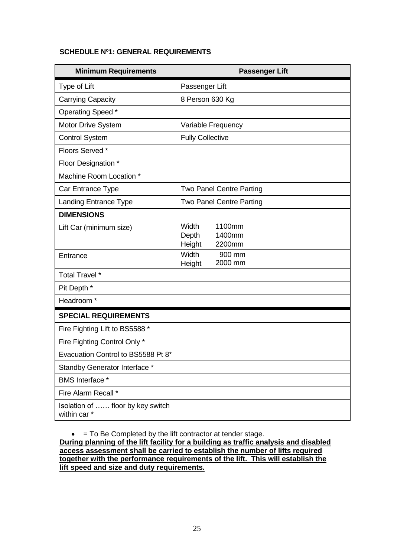## **SCHEDULE Nº1: GENERAL REQUIREMENTS**

| <b>Minimum Requirements</b>                       | <b>Passenger Lift</b>              |
|---------------------------------------------------|------------------------------------|
| Type of Lift                                      | Passenger Lift                     |
| <b>Carrying Capacity</b>                          | 8 Person 630 Kg                    |
| Operating Speed *                                 |                                    |
| Motor Drive System                                | Variable Frequency                 |
| <b>Control System</b>                             | <b>Fully Collective</b>            |
| Floors Served *                                   |                                    |
| Floor Designation *                               |                                    |
| Machine Room Location *                           |                                    |
| Car Entrance Type                                 | <b>Two Panel Centre Parting</b>    |
| <b>Landing Entrance Type</b>                      | <b>Two Panel Centre Parting</b>    |
| <b>DIMENSIONS</b>                                 |                                    |
| Lift Car (minimum size)                           | 1100mm<br>Width<br>Depth<br>1400mm |
|                                                   | Height<br>2200mm<br>900 mm         |
| Entrance                                          | Width<br>2000 mm<br>Height         |
| Total Travel *                                    |                                    |
| Pit Depth *                                       |                                    |
| Headroom *                                        |                                    |
| <b>SPECIAL REQUIREMENTS</b>                       |                                    |
| Fire Fighting Lift to BS5588 *                    |                                    |
| Fire Fighting Control Only *                      |                                    |
| Evacuation Control to BS5588 Pt 8*                |                                    |
| Standby Generator Interface *                     |                                    |
| <b>BMS</b> Interface *                            |                                    |
| Fire Alarm Recall *                               |                                    |
| Isolation of  floor by key switch<br>within car * |                                    |

 $\bullet$  = To Be Completed by the lift contractor at tender stage.

**During planning of the lift facility for a building as traffic analysis and disabled access assessment shall be carried to establish the number of lifts required together with the performance requirements of the lift. This will establish the lift speed and size and duty requirements.**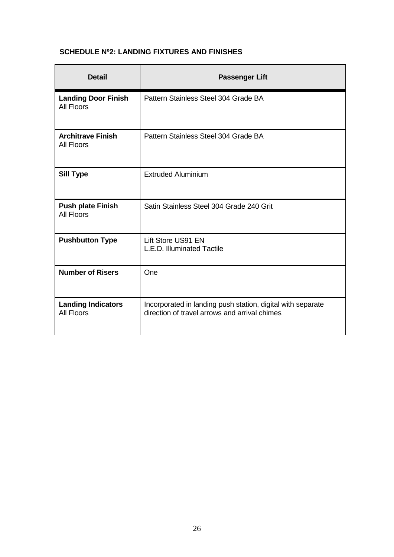## **SCHEDULE Nº2: LANDING FIXTURES AND FINISHES**

| <b>Detail</b>                                   | <b>Passenger Lift</b>                                                                                        |  |
|-------------------------------------------------|--------------------------------------------------------------------------------------------------------------|--|
| <b>Landing Door Finish</b><br><b>All Floors</b> | Pattern Stainless Steel 304 Grade BA                                                                         |  |
| <b>Architrave Finish</b><br><b>All Floors</b>   | Pattern Stainless Steel 304 Grade BA                                                                         |  |
| <b>Sill Type</b>                                | <b>Extruded Aluminium</b>                                                                                    |  |
| <b>Push plate Finish</b><br><b>All Floors</b>   | Satin Stainless Steel 304 Grade 240 Grit                                                                     |  |
| <b>Pushbutton Type</b>                          | Lift Store US91 EN<br>L.E.D. Illuminated Tactile                                                             |  |
| <b>Number of Risers</b>                         | One                                                                                                          |  |
| <b>Landing Indicators</b><br><b>All Floors</b>  | Incorporated in landing push station, digital with separate<br>direction of travel arrows and arrival chimes |  |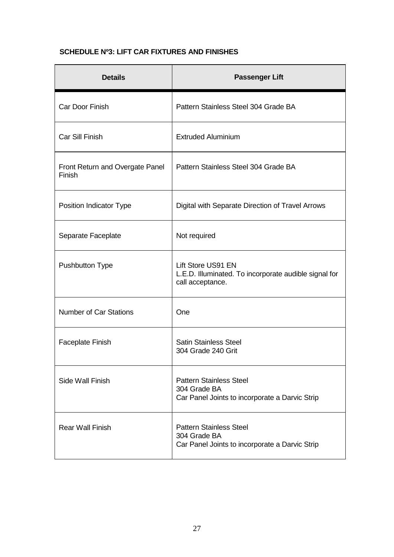## **SCHEDULE Nº3: LIFT CAR FIXTURES AND FINISHES**

| <b>Details</b>                            | <b>Passenger Lift</b>                                                                            |
|-------------------------------------------|--------------------------------------------------------------------------------------------------|
| Car Door Finish                           | Pattern Stainless Steel 304 Grade BA                                                             |
| Car Sill Finish                           | <b>Extruded Aluminium</b>                                                                        |
| Front Return and Overgate Panel<br>Finish | Pattern Stainless Steel 304 Grade BA                                                             |
| Position Indicator Type                   | Digital with Separate Direction of Travel Arrows                                                 |
| Separate Faceplate                        | Not required                                                                                     |
| <b>Pushbutton Type</b>                    | Lift Store US91 EN<br>L.E.D. Illuminated. To incorporate audible signal for<br>call acceptance.  |
| <b>Number of Car Stations</b>             | One                                                                                              |
| <b>Faceplate Finish</b>                   | <b>Satin Stainless Steel</b><br>304 Grade 240 Grit                                               |
| Side Wall Finish                          | <b>Pattern Stainless Steel</b><br>304 Grade BA<br>Car Panel Joints to incorporate a Darvic Strip |
| <b>Rear Wall Finish</b>                   | <b>Pattern Stainless Steel</b><br>304 Grade BA<br>Car Panel Joints to incorporate a Darvic Strip |